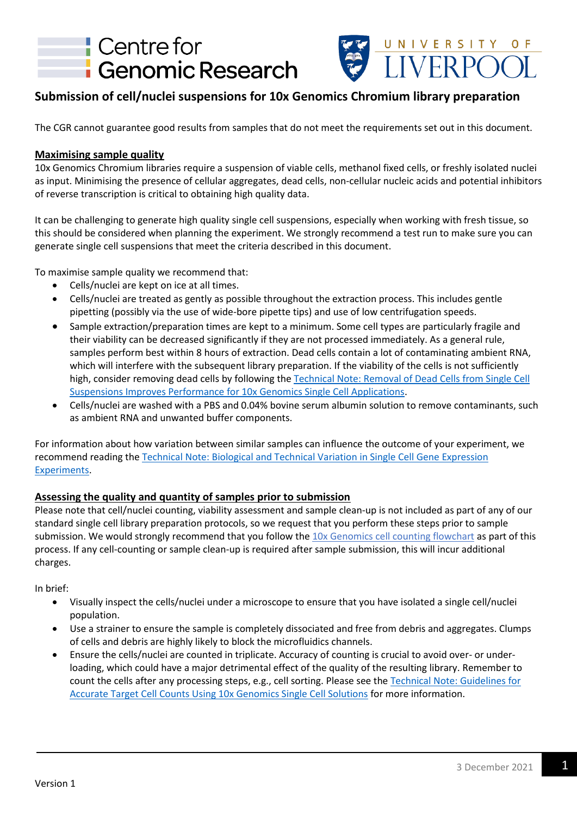



# **Submission of cell/nuclei suspensions for 10x Genomics Chromium library preparation**

The CGR cannot guarantee good results from samples that do not meet the requirements set out in this document.

### **Maximising sample quality**

10x Genomics Chromium libraries require a suspension of viable cells, methanol fixed cells, or freshly isolated nuclei as input. Minimising the presence of cellular aggregates, dead cells, non-cellular nucleic acids and potential inhibitors of reverse transcription is critical to obtaining high quality data.

It can be challenging to generate high quality single cell suspensions, especially when working with fresh tissue, so this should be considered when planning the experiment. We strongly recommend a test run to make sure you can generate single cell suspensions that meet the criteria described in this document.

To maximise sample quality we recommend that:

- Cells/nuclei are kept on ice at all times.
- Cells/nuclei are treated as gently as possible throughout the extraction process. This includes gentle pipetting (possibly via the use of wide-bore pipette tips) and use of low centrifugation speeds.
- Sample extraction/preparation times are kept to a minimum. Some cell types are particularly fragile and their viability can be decreased significantly if they are not processed immediately. As a general rule, samples perform best within 8 hours of extraction. Dead cells contain a lot of contaminating ambient RNA, which will interfere with the subsequent library preparation. If the viability of the cells is not sufficiently high, consider removing dead cells by following the [Technical Note: Removal of Dead Cells from Single Cell](http://cgr.liv.ac.uk/db/protocols/10x_Genomics_Technical-Note-Dead-Cell-Removal_CG000130_RevA.pdf)  [Suspensions Improves Performance for 10x Genomics Single Cell Applications.](http://cgr.liv.ac.uk/db/protocols/10x_Genomics_Technical-Note-Dead-Cell-Removal_CG000130_RevA.pdf)
- Cells/nuclei are washed with a PBS and 0.04% bovine serum albumin solution to remove contaminants, such as ambient RNA and unwanted buffer components.

For information about how variation between similar samples can influence the outcome of your experiment, we recommend reading th[e Technical Note: Biological and Technical Variation in Single Cell Gene Expression](http://cgr.liv.ac.uk/db/protocols/10x_Genomics_Biological-and-Technical-Variation-in-Single-Cell3_GeneExpressionExperiments_CG000170_RevA.pdf) [Experiments.](http://cgr.liv.ac.uk/db/protocols/10x_Genomics_Biological-and-Technical-Variation-in-Single-Cell3_GeneExpressionExperiments_CG000170_RevA.pdf)

### **Assessing the quality and quantity of samples prior to submission**

Please note that cell/nuclei counting, viability assessment and sample clean-up is not included as part of any of our standard single cell library preparation protocols, so we request that you perform these steps prior to sample submission. We would strongly recommend that you follow the [10x Genomics cell counting flowchart](http://cgr.liv.ac.uk/db/protocols/10x_Genomics_Cell-counting-flowchart_CG000126_RevA.pdf) as part of this process. If any cell-counting or sample clean-up is required after sample submission, this will incur additional charges.

In brief:

- Visually inspect the cells/nuclei under a microscope to ensure that you have isolated a single cell/nuclei population.
- Use a strainer to ensure the sample is completely dissociated and free from debris and aggregates. Clumps of cells and debris are highly likely to block the microfluidics channels.
- Ensure the cells/nuclei are counted in triplicate. Accuracy of counting is crucial to avoid over- or underloading, which could have a major detrimental effect of the quality of the resulting library. Remember to count the cells after any processing steps, e.g., cell sorting. Please see the [Technical Note: Guidelines for](http://cgr.liv.ac.uk/db/protocols/10x_Genomics_Technical-Note-Guidelines-on-Accurate-Target-Cell-Count_CG000091_RevB.pdf)  [Accurate Target Cell Counts Using 10x Genomics Single Cell Solutions](http://cgr.liv.ac.uk/db/protocols/10x_Genomics_Technical-Note-Guidelines-on-Accurate-Target-Cell-Count_CG000091_RevB.pdf) for more information.